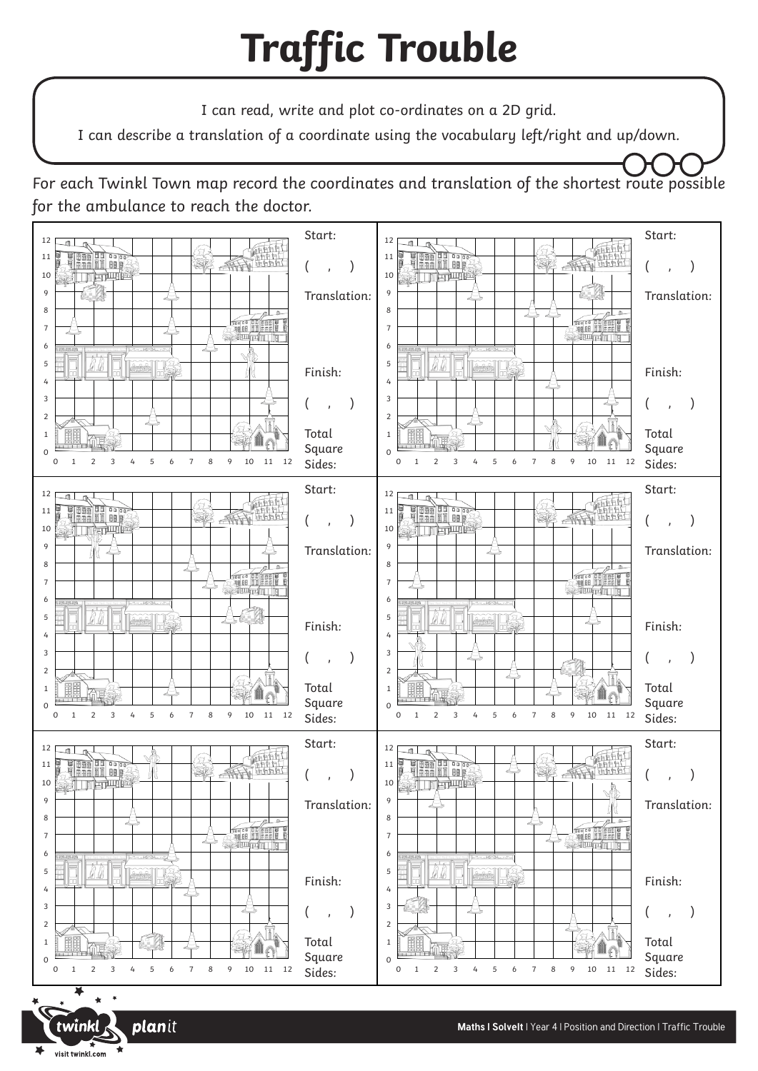## **Traffic Trouble**

I can read, write and plot co-ordinates on a 2D grid.

I can describe a translation of a coordinate using the vocabulary left/right and up/down.

For each Twinkl Town map record the coordinates and translation of the shortest route possible for the ambulance to reach the doctor.



x visit twinkl.com

twinkl

**plan**it